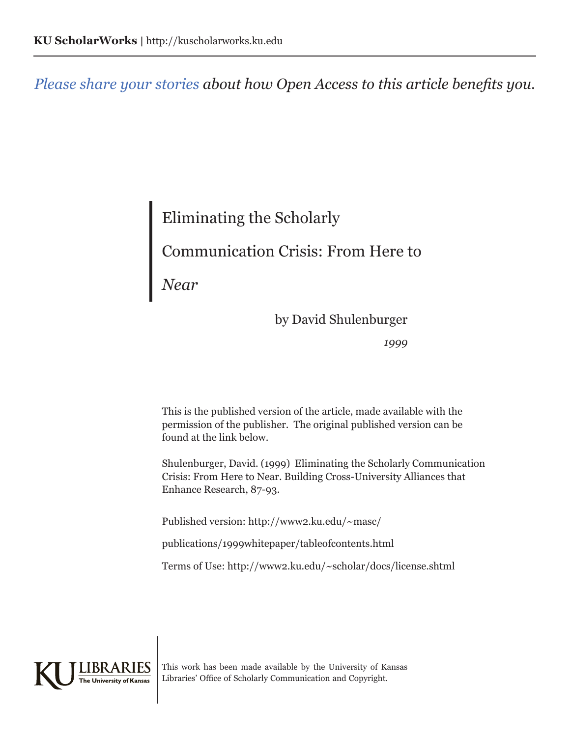*Please share your stories about how Open Access to this article benefits you.*

## Eliminating the Scholarly Communication Crisis: From Here to

*Near*

by David Shulenburger

*1999*

This is the published version of the article, made available with the permission of the publisher. The original published version can be found at the link below.

Shulenburger, David. (1999) Eliminating the Scholarly Communication Crisis: From Here to Near. Building Cross-University Alliances that Enhance Research, 87-93.

Published version: http://www2.ku.edu/~masc/

publications/1999whitepaper/tableofcontents.html

Terms of Use: http://www2.ku.edu/~scholar/docs/license.shtml



This work has been made available by the University of Kansas Libraries' Office of Scholarly Communication and Copyright.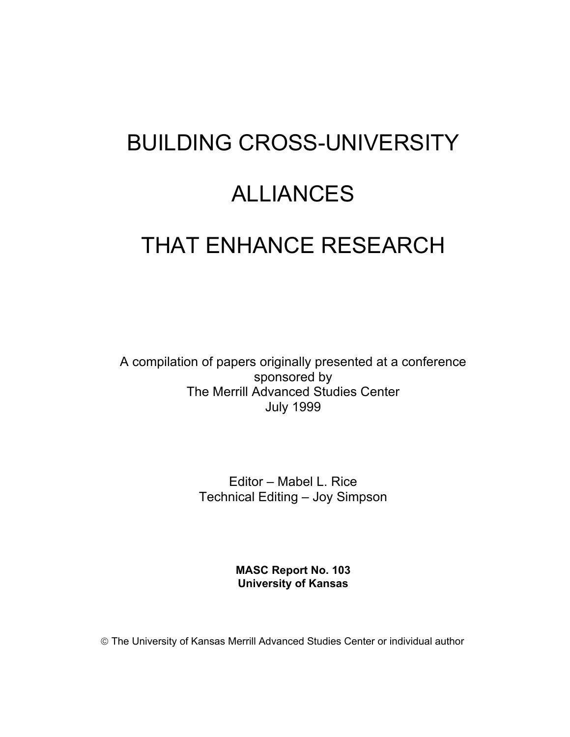# BUILDING CROSS-UNIVERSITY ALLIANCES THAT ENHANCE RESEARCH

A compilation of papers originally presented at a conference sponsored by The Merrill Advanced Studies Center July 1999

> Editor – Mabel L. Rice Technical Editing – Joy Simpson

> > **MASC Report No. 103 University of Kansas**

The University of Kansas Merrill Advanced Studies Center or individual author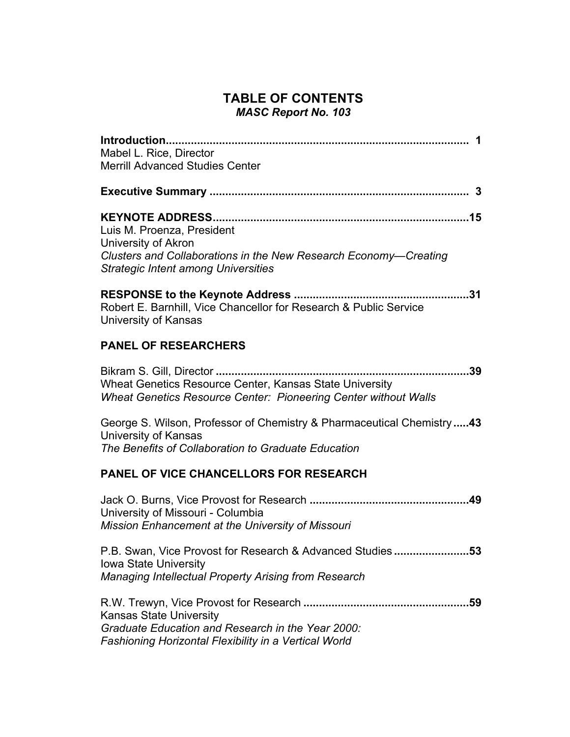#### **TABLE OF CONTENTS**  *MASC Report No. 103*

| Mabel L. Rice, Director                                                                                                                                             |
|---------------------------------------------------------------------------------------------------------------------------------------------------------------------|
| <b>Merrill Advanced Studies Center</b>                                                                                                                              |
|                                                                                                                                                                     |
| Luis M. Proenza, President<br>University of Akron<br>Clusters and Collaborations in the New Research Economy-Creating<br><b>Strategic Intent among Universities</b> |
| Robert E. Barnhill, Vice Chancellor for Research & Public Service<br>University of Kansas                                                                           |
| <b>PANEL OF RESEARCHERS</b>                                                                                                                                         |
| .39<br>Wheat Genetics Resource Center, Kansas State University<br><b>Wheat Genetics Resource Center: Pioneering Center without Walls</b>                            |
| George S. Wilson, Professor of Chemistry & Pharmaceutical Chemistry43<br>University of Kansas<br>The Benefits of Collaboration to Graduate Education                |
| <b>PANEL OF VICE CHANCELLORS FOR RESEARCH</b>                                                                                                                       |
| University of Missouri - Columbia<br>Mission Enhancement at the University of Missouri                                                                              |
| P.B. Swan, Vice Provost for Research & Advanced Studies<br>53<br><b>Iowa State University</b><br>Managing Intellectual Property Arising from Research               |
| <b>Kansas State University</b><br>Graduate Education and Research in the Year 2000:<br>Fashioning Horizontal Flexibility in a Vertical World                        |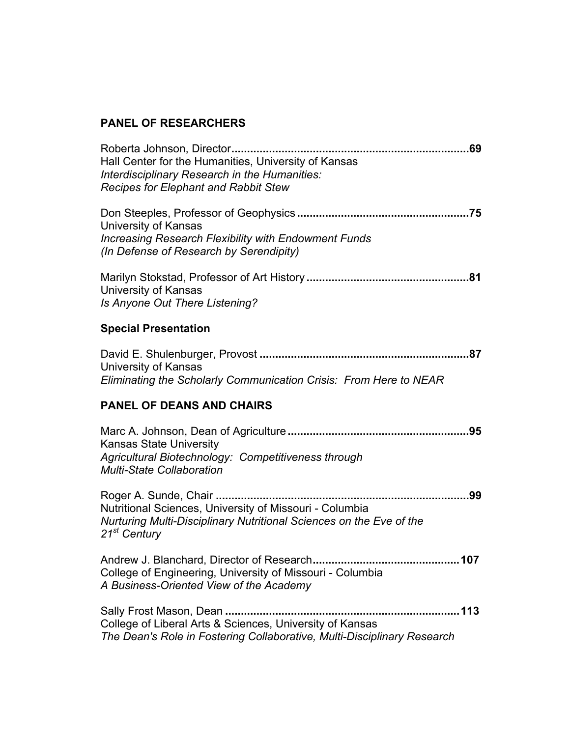#### **PANEL OF RESEARCHERS**

| Hall Center for the Humanities, University of Kansas<br>Interdisciplinary Research in the Humanities:<br><b>Recipes for Elephant and Rabbit Stew</b>       |
|------------------------------------------------------------------------------------------------------------------------------------------------------------|
| University of Kansas<br><b>Increasing Research Flexibility with Endowment Funds</b><br>(In Defense of Research by Serendipity)                             |
| University of Kansas<br>Is Anyone Out There Listening?                                                                                                     |
| <b>Special Presentation</b>                                                                                                                                |
| <b>University of Kansas</b><br>Eliminating the Scholarly Communication Crisis: From Here to NEAR                                                           |
| <b>PANEL OF DEANS AND CHAIRS</b>                                                                                                                           |
| <b>Kansas State University</b><br>Agricultural Biotechnology: Competitiveness through<br><b>Multi-State Collaboration</b>                                  |
| Nutritional Sciences, University of Missouri - Columbia<br>Nurturing Multi-Disciplinary Nutritional Sciences on the Eve of the<br>21 <sup>st</sup> Century |
| College of Engineering, University of Missouri - Columbia<br>A Business-Oriented View of the Academy                                                       |
|                                                                                                                                                            |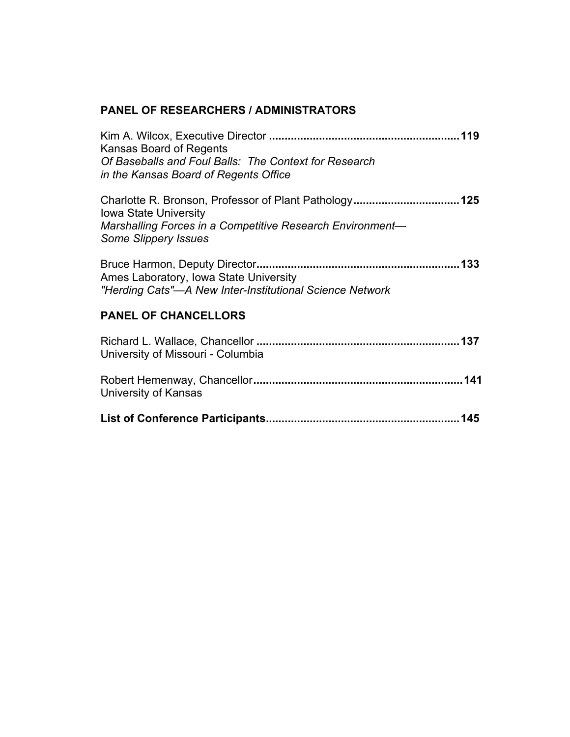#### **PANEL OF RESEARCHERS / ADMINISTRATORS**

| Kansas Board of Regents<br>Of Baseballs and Foul Balls: The Context for Research<br>in the Kansas Board of Regents Office |
|---------------------------------------------------------------------------------------------------------------------------|
| <b>Iowa State University</b><br>Marshalling Forces in a Competitive Research Environment—<br><b>Some Slippery Issues</b>  |
| Ames Laboratory, Iowa State University<br>"Herding Cats"—A New Inter-Institutional Science Network                        |
| <b>PANEL OF CHANCELLORS</b>                                                                                               |
| University of Missouri - Columbia                                                                                         |
| University of Kansas                                                                                                      |
|                                                                                                                           |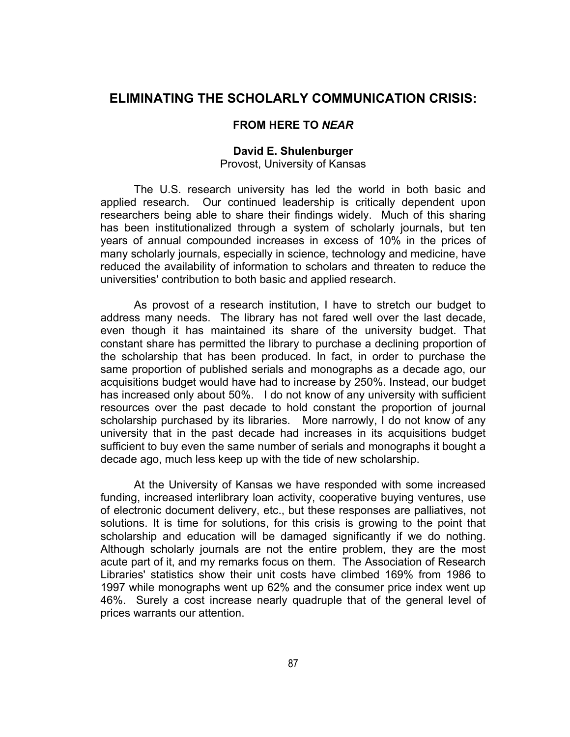#### **ELIMINATING THE SCHOLARLY COMMUNICATION CRISIS:**

#### **FROM HERE TO** *NEAR*

### **David E. Shulenburger**

Provost, University of Kansas

The U.S. research university has led the world in both basic and applied research. Our continued leadership is critically dependent upon researchers being able to share their findings widely. Much of this sharing has been institutionalized through a system of scholarly journals, but ten years of annual compounded increases in excess of 10% in the prices of many scholarly journals, especially in science, technology and medicine, have reduced the availability of information to scholars and threaten to reduce the universities' contribution to both basic and applied research.

As provost of a research institution, I have to stretch our budget to address many needs. The library has not fared well over the last decade, even though it has maintained its share of the university budget. That constant share has permitted the library to purchase a declining proportion of the scholarship that has been produced. In fact, in order to purchase the same proportion of published serials and monographs as a decade ago, our acquisitions budget would have had to increase by 250%. Instead, our budget has increased only about 50%. I do not know of any university with sufficient resources over the past decade to hold constant the proportion of journal scholarship purchased by its libraries. More narrowly, I do not know of any university that in the past decade had increases in its acquisitions budget sufficient to buy even the same number of serials and monographs it bought a decade ago, much less keep up with the tide of new scholarship.

At the University of Kansas we have responded with some increased funding, increased interlibrary loan activity, cooperative buying ventures, use of electronic document delivery, etc., but these responses are palliatives, not solutions. It is time for solutions, for this crisis is growing to the point that scholarship and education will be damaged significantly if we do nothing. Although scholarly journals are not the entire problem, they are the most acute part of it, and my remarks focus on them. The Association of Research Libraries' statistics show their unit costs have climbed 169% from 1986 to 1997 while monographs went up 62% and the consumer price index went up 46%. Surely a cost increase nearly quadruple that of the general level of prices warrants our attention.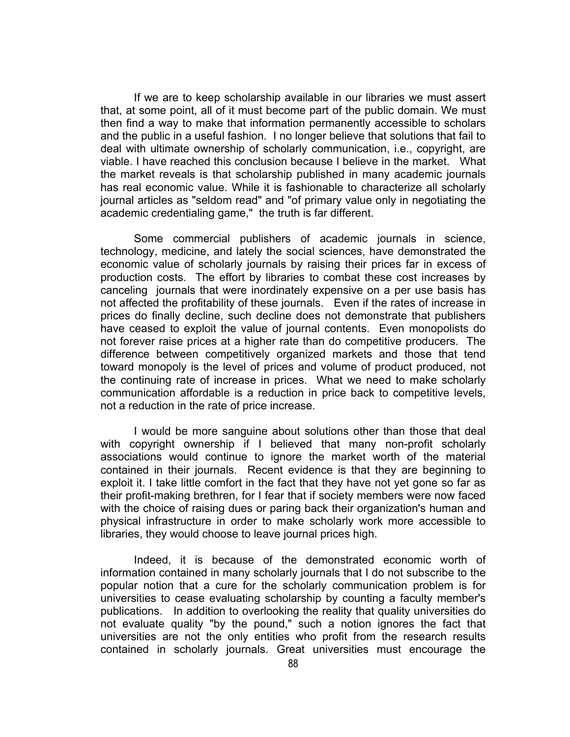If we are to keep scholarship available in our libraries we must assert that, at some point, all of it must become part of the public domain. We must then find a way to make that information permanently accessible to scholars and the public in a useful fashion. I no longer believe that solutions that fail to deal with ultimate ownership of scholarly communication, i.e., copyright, are viable. I have reached this conclusion because I believe in the market. What the market reveals is that scholarship published in many academic journals has real economic value. While it is fashionable to characterize all scholarly journal articles as "seldom read" and "of primary value only in negotiating the academic credentialing game," the truth is far different.

Some commercial publishers of academic journals in science, technology, medicine, and lately the social sciences, have demonstrated the economic value of scholarly journals by raising their prices far in excess of production costs. The effort by libraries to combat these cost increases by canceling journals that were inordinately expensive on a per use basis has not affected the profitability of these journals. Even if the rates of increase in prices do finally decline, such decline does not demonstrate that publishers have ceased to exploit the value of journal contents. Even monopolists do not forever raise prices at a higher rate than do competitive producers. The difference between competitively organized markets and those that tend toward monopoly is the level of prices and volume of product produced, not the continuing rate of increase in prices. What we need to make scholarly communication affordable is a reduction in price back to competitive levels, not a reduction in the rate of price increase.

I would be more sanguine about solutions other than those that deal with copyright ownership if I believed that many non-profit scholarly associations would continue to ignore the market worth of the material contained in their journals. Recent evidence is that they are beginning to exploit it. I take little comfort in the fact that they have not yet gone so far as their profit-making brethren, for I fear that if society members were now faced with the choice of raising dues or paring back their organization's human and physical infrastructure in order to make scholarly work more accessible to libraries, they would choose to leave journal prices high.

Indeed, it is because of the demonstrated economic worth of information contained in many scholarly journals that I do not subscribe to the popular notion that a cure for the scholarly communication problem is for universities to cease evaluating scholarship by counting a faculty member's publications. In addition to overlooking the reality that quality universities do not evaluate quality "by the pound," such a notion ignores the fact that universities are not the only entities who profit from the research results contained in scholarly journals. Great universities must encourage the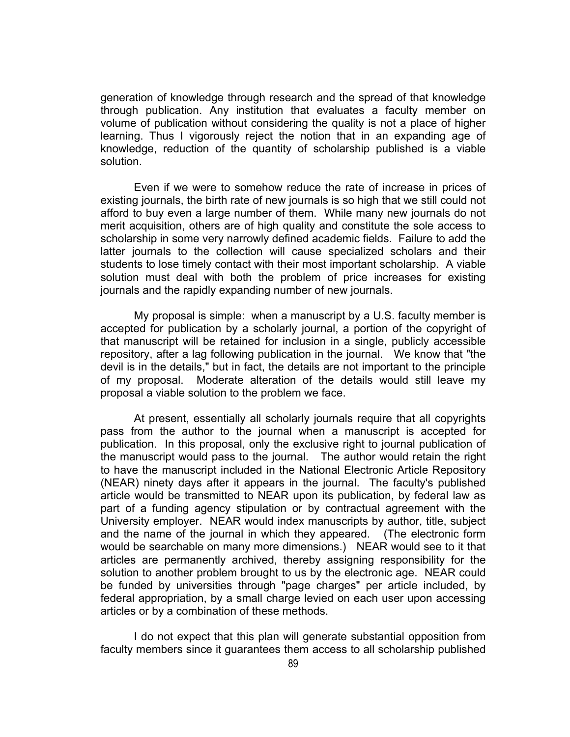generation of knowledge through research and the spread of that knowledge through publication. Any institution that evaluates a faculty member on volume of publication without considering the quality is not a place of higher learning. Thus I vigorously reject the notion that in an expanding age of knowledge, reduction of the quantity of scholarship published is a viable solution.

Even if we were to somehow reduce the rate of increase in prices of existing journals, the birth rate of new journals is so high that we still could not afford to buy even a large number of them. While many new journals do not merit acquisition, others are of high quality and constitute the sole access to scholarship in some very narrowly defined academic fields. Failure to add the latter journals to the collection will cause specialized scholars and their students to lose timely contact with their most important scholarship. A viable solution must deal with both the problem of price increases for existing journals and the rapidly expanding number of new journals.

My proposal is simple: when a manuscript by a U.S. faculty member is accepted for publication by a scholarly journal, a portion of the copyright of that manuscript will be retained for inclusion in a single, publicly accessible repository, after a lag following publication in the journal. We know that "the devil is in the details," but in fact, the details are not important to the principle of my proposal. Moderate alteration of the details would still leave my proposal a viable solution to the problem we face.

At present, essentially all scholarly journals require that all copyrights pass from the author to the journal when a manuscript is accepted for publication. In this proposal, only the exclusive right to journal publication of the manuscript would pass to the journal. The author would retain the right to have the manuscript included in the National Electronic Article Repository (NEAR) ninety days after it appears in the journal. The faculty's published article would be transmitted to NEAR upon its publication, by federal law as part of a funding agency stipulation or by contractual agreement with the University employer. NEAR would index manuscripts by author, title, subject and the name of the journal in which they appeared. (The electronic form would be searchable on many more dimensions.) NEAR would see to it that articles are permanently archived, thereby assigning responsibility for the solution to another problem brought to us by the electronic age. NEAR could be funded by universities through "page charges" per article included, by federal appropriation, by a small charge levied on each user upon accessing articles or by a combination of these methods.

I do not expect that this plan will generate substantial opposition from faculty members since it guarantees them access to all scholarship published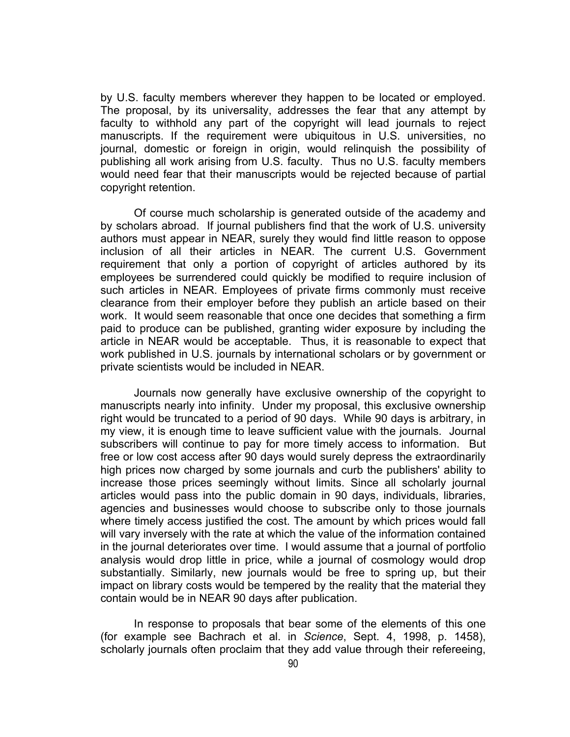by U.S. faculty members wherever they happen to be located or employed. The proposal, by its universality, addresses the fear that any attempt by faculty to withhold any part of the copyright will lead journals to reject manuscripts. If the requirement were ubiquitous in U.S. universities, no journal, domestic or foreign in origin, would relinquish the possibility of publishing all work arising from U.S. faculty. Thus no U.S. faculty members would need fear that their manuscripts would be rejected because of partial copyright retention.

Of course much scholarship is generated outside of the academy and by scholars abroad. If journal publishers find that the work of U.S. university authors must appear in NEAR, surely they would find little reason to oppose inclusion of all their articles in NEAR. The current U.S. Government requirement that only a portion of copyright of articles authored by its employees be surrendered could quickly be modified to require inclusion of such articles in NEAR. Employees of private firms commonly must receive clearance from their employer before they publish an article based on their work. It would seem reasonable that once one decides that something a firm paid to produce can be published, granting wider exposure by including the article in NEAR would be acceptable. Thus, it is reasonable to expect that work published in U.S. journals by international scholars or by government or private scientists would be included in NEAR.

Journals now generally have exclusive ownership of the copyright to manuscripts nearly into infinity. Under my proposal, this exclusive ownership right would be truncated to a period of 90 days. While 90 days is arbitrary, in my view, it is enough time to leave sufficient value with the journals. Journal subscribers will continue to pay for more timely access to information. But free or low cost access after 90 days would surely depress the extraordinarily high prices now charged by some journals and curb the publishers' ability to increase those prices seemingly without limits. Since all scholarly journal articles would pass into the public domain in 90 days, individuals, libraries, agencies and businesses would choose to subscribe only to those journals where timely access justified the cost. The amount by which prices would fall will vary inversely with the rate at which the value of the information contained in the journal deteriorates over time. I would assume that a journal of portfolio analysis would drop little in price, while a journal of cosmology would drop substantially. Similarly, new journals would be free to spring up, but their impact on library costs would be tempered by the reality that the material they contain would be in NEAR 90 days after publication.

In response to proposals that bear some of the elements of this one (for example see Bachrach et al. in *Science*, Sept. 4, 1998, p. 1458), scholarly journals often proclaim that they add value through their refereeing,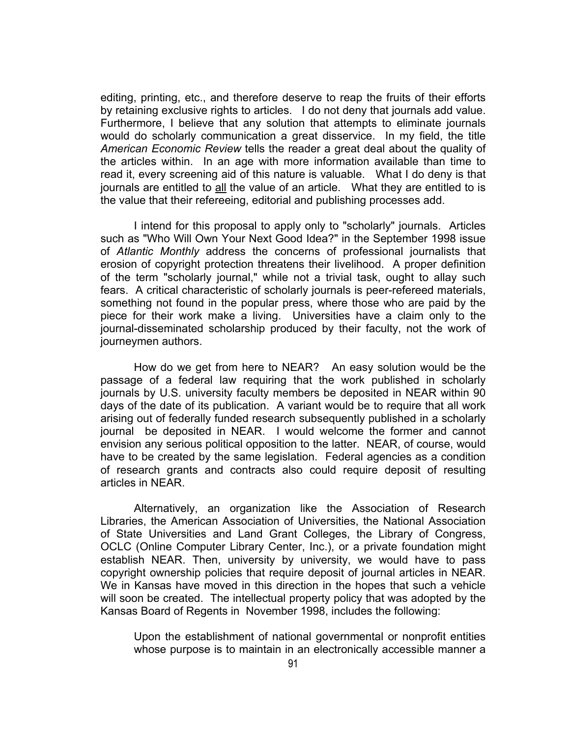editing, printing, etc., and therefore deserve to reap the fruits of their efforts by retaining exclusive rights to articles. I do not deny that journals add value. Furthermore, I believe that any solution that attempts to eliminate journals would do scholarly communication a great disservice. In my field, the title *American Economic Review* tells the reader a great deal about the quality of the articles within. In an age with more information available than time to read it, every screening aid of this nature is valuable. What I do deny is that journals are entitled to all the value of an article. What they are entitled to is the value that their refereeing, editorial and publishing processes add.

I intend for this proposal to apply only to "scholarly" journals. Articles such as "Who Will Own Your Next Good Idea?" in the September 1998 issue of *Atlantic Monthly* address the concerns of professional journalists that erosion of copyright protection threatens their livelihood. A proper definition of the term "scholarly journal," while not a trivial task, ought to allay such fears. A critical characteristic of scholarly journals is peer-refereed materials, something not found in the popular press, where those who are paid by the piece for their work make a living. Universities have a claim only to the journal-disseminated scholarship produced by their faculty, not the work of journeymen authors.

How do we get from here to NEAR? An easy solution would be the passage of a federal law requiring that the work published in scholarly journals by U.S. university faculty members be deposited in NEAR within 90 days of the date of its publication. A variant would be to require that all work arising out of federally funded research subsequently published in a scholarly journal be deposited in NEAR. I would welcome the former and cannot envision any serious political opposition to the latter. NEAR, of course, would have to be created by the same legislation. Federal agencies as a condition of research grants and contracts also could require deposit of resulting articles in NEAR.

Alternatively, an organization like the Association of Research Libraries, the American Association of Universities, the National Association of State Universities and Land Grant Colleges, the Library of Congress, OCLC (Online Computer Library Center, Inc.), or a private foundation might establish NEAR. Then, university by university, we would have to pass copyright ownership policies that require deposit of journal articles in NEAR. We in Kansas have moved in this direction in the hopes that such a vehicle will soon be created. The intellectual property policy that was adopted by the Kansas Board of Regents in November 1998, includes the following:

Upon the establishment of national governmental or nonprofit entities whose purpose is to maintain in an electronically accessible manner a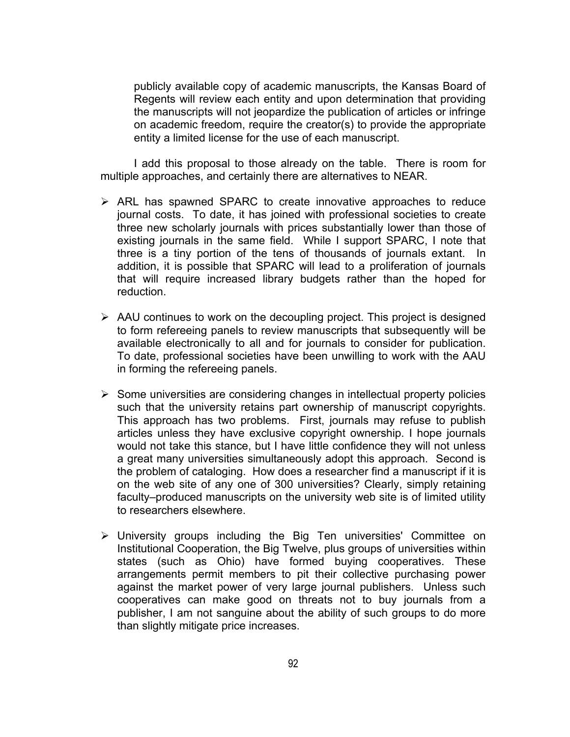publicly available copy of academic manuscripts, the Kansas Board of Regents will review each entity and upon determination that providing the manuscripts will not jeopardize the publication of articles or infringe on academic freedom, require the creator(s) to provide the appropriate entity a limited license for the use of each manuscript.

I add this proposal to those already on the table. There is room for multiple approaches, and certainly there are alternatives to NEAR.

- $\triangleright$  ARL has spawned SPARC to create innovative approaches to reduce journal costs. To date, it has joined with professional societies to create three new scholarly journals with prices substantially lower than those of existing journals in the same field. While I support SPARC, I note that three is a tiny portion of the tens of thousands of journals extant. In addition, it is possible that SPARC will lead to a proliferation of journals that will require increased library budgets rather than the hoped for reduction.
- $\triangleright$  AAU continues to work on the decoupling project. This project is designed to form refereeing panels to review manuscripts that subsequently will be available electronically to all and for journals to consider for publication. To date, professional societies have been unwilling to work with the AAU in forming the refereeing panels.
- $\triangleright$  Some universities are considering changes in intellectual property policies such that the university retains part ownership of manuscript copyrights. This approach has two problems. First, journals may refuse to publish articles unless they have exclusive copyright ownership. I hope journals would not take this stance, but I have little confidence they will not unless a great many universities simultaneously adopt this approach. Second is the problem of cataloging. How does a researcher find a manuscript if it is on the web site of any one of 300 universities? Clearly, simply retaining faculty–produced manuscripts on the university web site is of limited utility to researchers elsewhere.
- $\triangleright$  University groups including the Big Ten universities' Committee on Institutional Cooperation, the Big Twelve, plus groups of universities within states (such as Ohio) have formed buying cooperatives. These arrangements permit members to pit their collective purchasing power against the market power of very large journal publishers. Unless such cooperatives can make good on threats not to buy journals from a publisher, I am not sanguine about the ability of such groups to do more than slightly mitigate price increases.